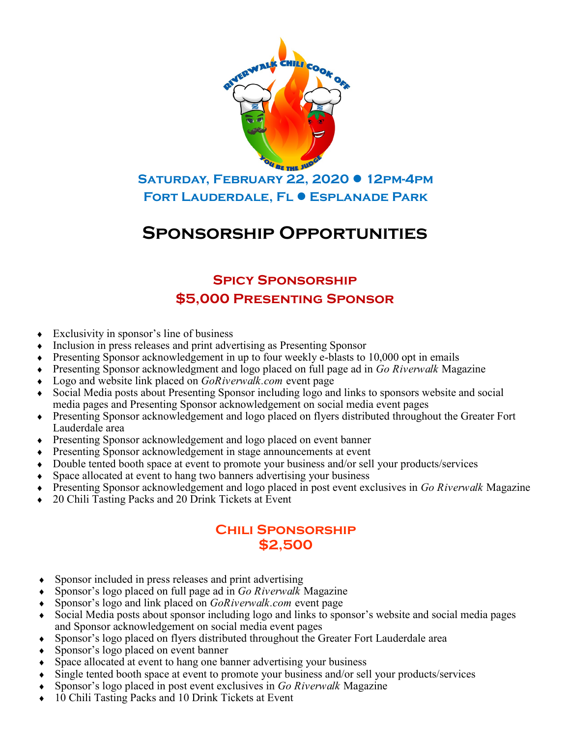

**Fort Lauderdale, Fl Esplanade Park**

# **Sponsorship Opportunities**

### **Spicy Sponsorship \$5,000 Presenting Sponsor**

- Exclusivity in sponsor's line of business
- Inclusion in press releases and print advertising as Presenting Sponsor
- Presenting Sponsor acknowledgement in up to four weekly e-blasts to 10,000 opt in emails
- Presenting Sponsor acknowledgment and logo placed on full page ad in *Go Riverwalk* Magazine
- Logo and website link placed on *GoRiverwalk.com* event page
- Social Media posts about Presenting Sponsor including logo and links to sponsors website and social media pages and Presenting Sponsor acknowledgement on social media event pages
- Presenting Sponsor acknowledgement and logo placed on flyers distributed throughout the Greater Fort Lauderdale area
- Presenting Sponsor acknowledgement and logo placed on event banner
- Presenting Sponsor acknowledgement in stage announcements at event
- Double tented booth space at event to promote your business and/or sell your products/services
- Space allocated at event to hang two banners advertising your business
- Presenting Sponsor acknowledgement and logo placed in post event exclusives in *Go Riverwalk* Magazine
- ◆ 20 Chili Tasting Packs and 20 Drink Tickets at Event

#### **Chili Sponsorship \$2,500**

- Sponsor included in press releases and print advertising
- Sponsor's logo placed on full page ad in *Go Riverwalk* Magazine
- Sponsor's logo and link placed on *GoRiverwalk.com* event page
- Social Media posts about sponsor including logo and links to sponsor's website and social media pages and Sponsor acknowledgement on social media event pages
- Sponsor's logo placed on flyers distributed throughout the Greater Fort Lauderdale area
- Sponsor's logo placed on event banner
- Space allocated at event to hang one banner advertising your business
- Single tented booth space at event to promote your business and/or sell your products/services
- Sponsor's logo placed in post event exclusives in *Go Riverwalk* Magazine
- 10 Chili Tasting Packs and 10 Drink Tickets at Event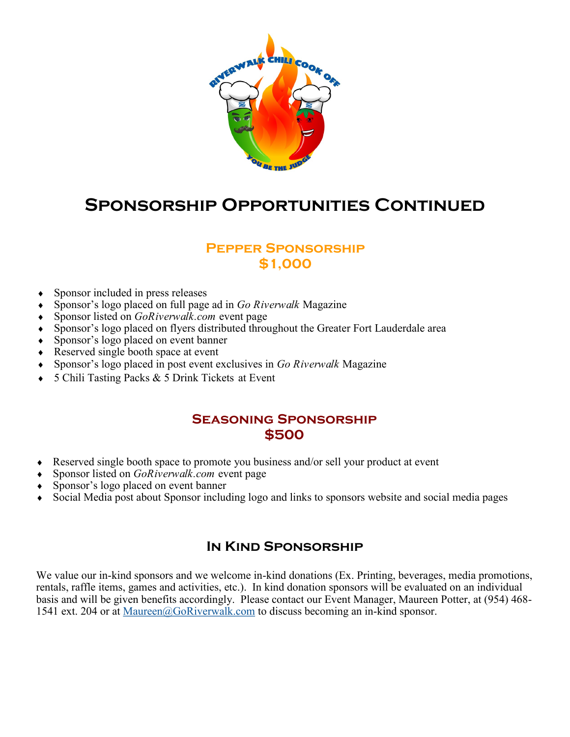

# **Sponsorship Opportunities Continued**

#### **Pepper Sponsorship \$1,000**

- Sponsor included in press releases
- Sponsor's logo placed on full page ad in *Go Riverwalk* Magazine
- Sponsor listed on *GoRiverwalk.com* event page
- Sponsor's logo placed on flyers distributed throughout the Greater Fort Lauderdale area
- Sponsor's logo placed on event banner
- Reserved single booth space at event
- Sponsor's logo placed in post event exclusives in *Go Riverwalk* Magazine
- 5 Chili Tasting Packs & 5 Drink Tickets at Event

#### **Seasoning Sponsorship \$500**

- Reserved single booth space to promote you business and/or sell your product at event
- Sponsor listed on *GoRiverwalk.com* event page
- Sponsor's logo placed on event banner
- Social Media post about Sponsor including logo and links to sponsors website and social media pages

#### **In Kind Sponsorship**

We value our in-kind sponsors and we welcome in-kind donations (Ex. Printing, beverages, media promotions, rentals, raffle items, games and activities, etc.). In kind donation sponsors will be evaluated on an individual basis and will be given benefits accordingly. Please contact our Event Manager, Maureen Potter, at (954) 468- 1541 ext. 204 or at [Maureen@GoRiverwalk.com](mailto:Maureen@GoRiverwalk.com) to discuss becoming an in-kind sponsor.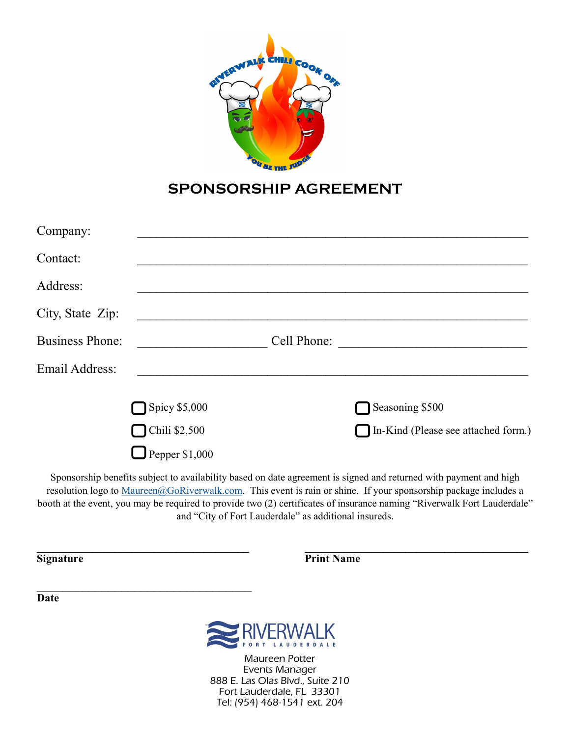

### **SPONSORSHIP AGREEMENT**

| Company:               |                      |                                     |
|------------------------|----------------------|-------------------------------------|
| Contact:               |                      |                                     |
| Address:               |                      |                                     |
| City, State Zip:       |                      |                                     |
| <b>Business Phone:</b> |                      | Cell Phone:                         |
| <b>Email Address:</b>  |                      |                                     |
|                        | $\Box$ Spicy \$5,000 | Seasoning \$500                     |
|                        | Chili \$2,500        | In-Kind (Please see attached form.) |
|                        | Pepper \$1,000       |                                     |

Sponsorship benefits subject to availability based on date agreement is signed and returned with payment and high resolution logo to [Maureen@GoRiverwalk.com.](mailto:Maureen@GoRiverwalk.com) This event is rain or shine. If your sponsorship package includes a booth at the event, you may be required to provide two (2) certificates of insurance naming "Riverwalk Fort Lauderdale" and "City of Fort Lauderdale" as additional insureds.

**\_\_\_\_\_\_\_\_\_\_\_\_\_\_\_\_\_\_\_\_\_\_\_\_\_\_\_\_\_\_\_\_\_\_\_\_\_\_ \_\_\_\_\_\_\_\_\_\_\_\_\_\_\_\_\_\_\_\_\_\_\_\_\_\_\_\_\_\_\_\_\_\_\_\_\_\_\_\_**

**Signature** Print Name

**Date**



Maureen Potter Events Manager 888 E. Las Olas Blvd., Suite 210 Fort Lauderdale, FL 33301 Tel: (954) 468-1541 ext. 204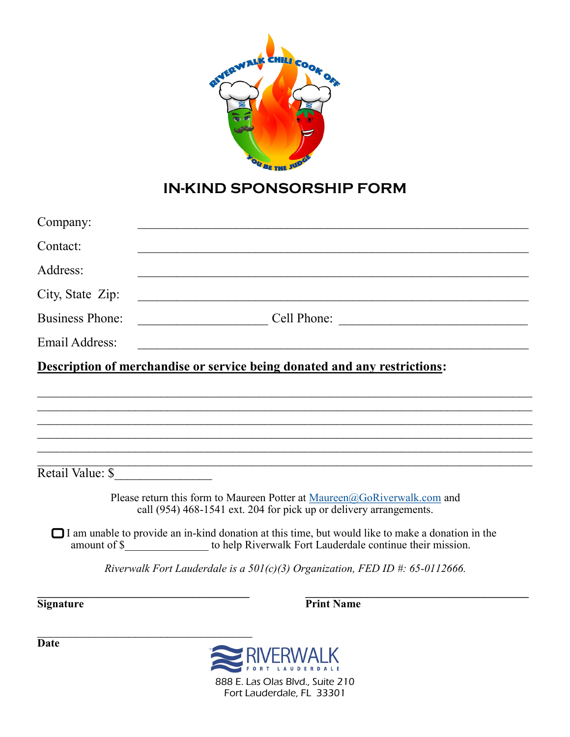

## **IN-KIND SPONSORSHIP FORM**

| Company:               |                                                                                                                                                                                                     |
|------------------------|-----------------------------------------------------------------------------------------------------------------------------------------------------------------------------------------------------|
| Contact:               |                                                                                                                                                                                                     |
| Address:               |                                                                                                                                                                                                     |
| City, State Zip:       |                                                                                                                                                                                                     |
| <b>Business Phone:</b> | $\begin{array}{c} \begin{array}{c} \text{Cell Phone:} \end{array} \end{array}$                                                                                                                      |
| <b>Email Address:</b>  |                                                                                                                                                                                                     |
|                        | Description of merchandise or service being donated and any restrictions:                                                                                                                           |
|                        | ,我们也不能会在这里,我们的人们就会在这里,我们的人们就会在这里,我们也不会在这里,我们也不会在这里,我们也不会在这里,我们也不会在这里,我们也不会在这里,我们                                                                                                                    |
|                        |                                                                                                                                                                                                     |
|                        |                                                                                                                                                                                                     |
|                        |                                                                                                                                                                                                     |
| Retail Value: \$       |                                                                                                                                                                                                     |
|                        | Please return this form to Maureen Potter at Maureen@GoRiverwalk.com and<br>call (954) 468-1541 ext. 204 for pick up or delivery arrangements.                                                      |
|                        | $\Box$ I am unable to provide an in-kind donation at this time, but would like to make a donation in the<br>amount of \$_________________ to help Riverwalk Fort Lauderdale continue their mission. |
|                        | Riverwalk Fort Lauderdale is a $50I(c)(3)$ Organization, FED ID #: 65-0112666.                                                                                                                      |
| <b>Signature</b>       | <b>Print Name</b>                                                                                                                                                                                   |



**Date**